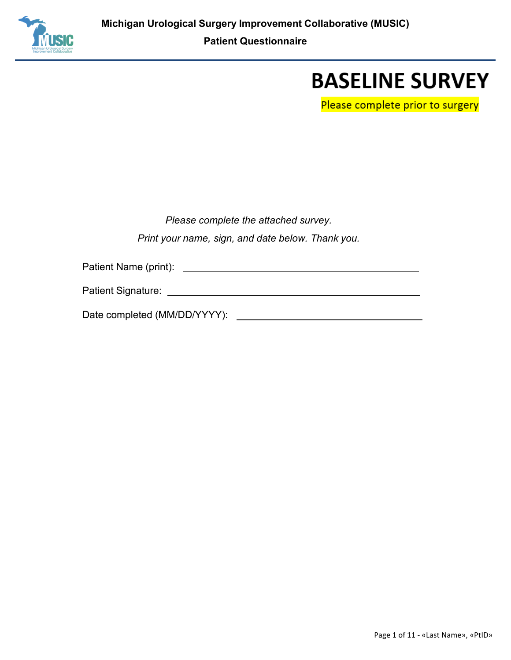

## **BASELINE SURVEY**

Please complete prior to surgery

| Please complete the attached survey.              |  |  |  |  |  |  |  |
|---------------------------------------------------|--|--|--|--|--|--|--|
| Print your name, sign, and date below. Thank you. |  |  |  |  |  |  |  |

Patient Name (print):

Date completed (MM/DD/YYYY):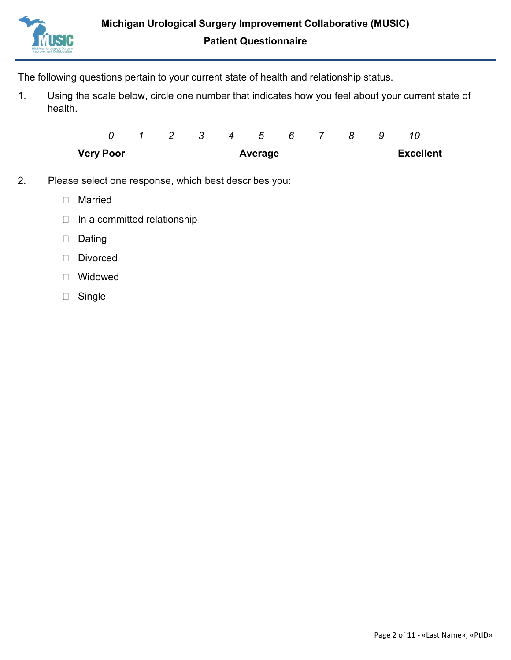

The following questions pertain to your current state of health and relationship status.

1. Using the scale below, circle one number that indicates how you feel about your current state of health.

| <b>Very Poor</b> |  |  | Average                |  |  | <b>Excellent</b> |  |
|------------------|--|--|------------------------|--|--|------------------|--|
|                  |  |  | 0 1 2 3 4 5 6 7 8 9 10 |  |  |                  |  |

- 2. Please select one response, which best describes you:
	- Married
	- $\Box$  In a committed relationship
	- Dating
	- Divorced
	- Widowed
	- Single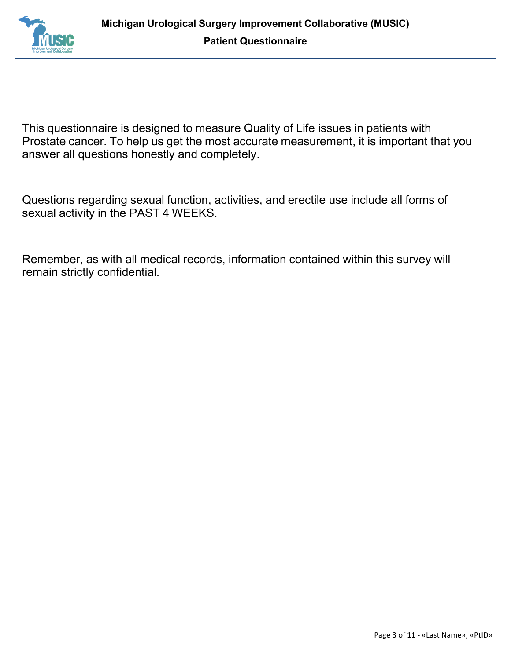

This questionnaire is designed to measure Quality of Life issues in patients with Prostate cancer. To help us get the most accurate measurement, it is important that you answer all questions honestly and completely.

Questions regarding sexual function, activities, and erectile use include all forms of sexual activity in the PAST 4 WEEKS.

Remember, as with all medical records, information contained within this survey will remain strictly confidential.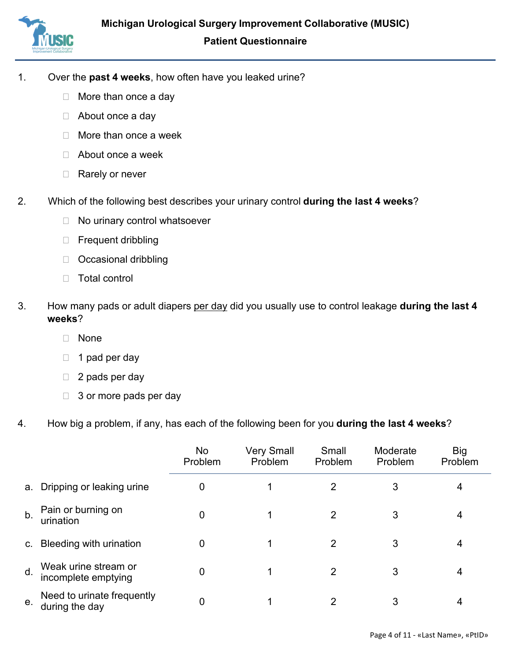

- 1. Over the **past 4 weeks**, how often have you leaked urine?
	- □ More than once a day
	- □ About once a day
	- □ More than once a week
	- □ About once a week
	- □ Rarely or never
- 2. Which of the following best describes your urinary control **during the last 4 weeks**?
	- $\Box$  No urinary control whatsoever
	- □ Frequent dribbling
	- □ Occasional dribbling
	- Total control
- 3. How many pads or adult diapers per day did you usually use to control leakage **during the last 4 weeks**?
	- None
	- $\Box$  1 pad per day
	- $\Box$  2 pads per day
	- $\Box$  3 or more pads per day
- 4. How big a problem, if any, has each of the following been for you **during the last 4 weeks**?

|                |                                              | No<br>Problem | <b>Very Small</b><br>Problem | Small<br>Problem | Moderate<br>Problem | Big<br>Problem |
|----------------|----------------------------------------------|---------------|------------------------------|------------------|---------------------|----------------|
| a.             | Dripping or leaking urine                    | 0             |                              | 2                | 3                   | 4              |
| b.             | Pain or burning on<br>urination              | 0             |                              | 2                | 3                   | 4              |
| $\mathsf{C}$ . | Bleeding with urination                      | 0             |                              | 2                | 3                   | 4              |
| d.             | Weak urine stream or<br>incomplete emptying  | 0             | 1                            | 2                | 3                   | 4              |
| е.             | Need to urinate frequently<br>during the day | 0             |                              | 2                | 3                   | 4              |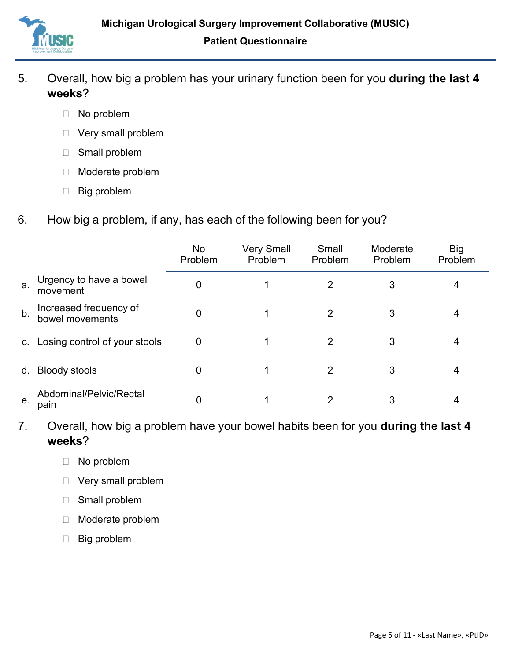

- 5. Overall, how big a problem has your urinary function been for you **during the last 4 weeks**?
	- □ No problem
	- Very small problem
	- □ Small problem
	- Moderate problem
	- □ Big problem
- 6. How big a problem, if any, has each of the following been for you?

|                |                                           | No<br>Problem    | <b>Very Small</b><br>Problem | Small<br>Problem | Moderate<br>Problem | <b>Big</b><br>Problem |
|----------------|-------------------------------------------|------------------|------------------------------|------------------|---------------------|-----------------------|
| a.             | Urgency to have a bowel<br>movement       | 0                |                              | 2                | 3                   | 4                     |
| b <sub>1</sub> | Increased frequency of<br>bowel movements | 0                |                              | 2                | 3                   | 4                     |
|                | c. Losing control of your stools          | $\boldsymbol{0}$ |                              | 2                | 3                   | 4                     |
| d.             | <b>Bloody stools</b>                      | 0                |                              | 2                | 3                   | 4                     |
| е.             | Abdominal/Pelvic/Rectal<br>pain           | 0                |                              | 2                | 3                   |                       |

- 7. Overall, how big a problem have your bowel habits been for you **during the last 4 weeks**?
	- No problem
	- Very small problem
	- Small problem
	- Moderate problem
	- Big problem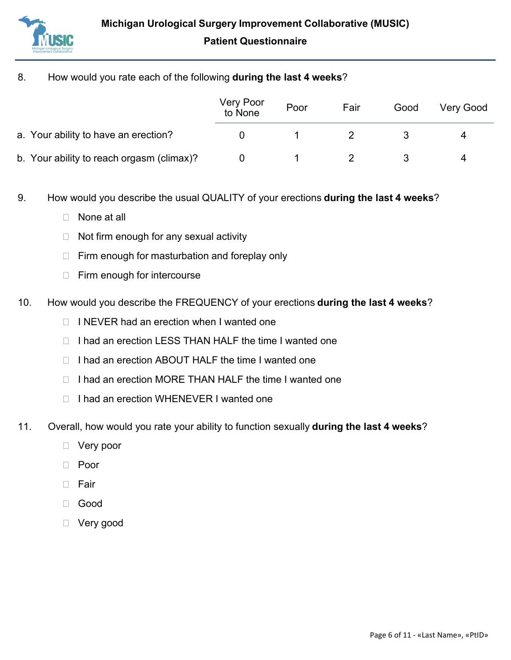

## 8. How would you rate each of the following **during the last 4 weeks**?

|                                           | Very Poor<br>to None | Poor | Fair | Good | <b>Very Good</b> |
|-------------------------------------------|----------------------|------|------|------|------------------|
| a. Your ability to have an erection?      |                      |      |      |      | 4                |
| b. Your ability to reach orgasm (climax)? |                      |      |      |      | 4                |

- 9. How would you describe the usual QUALITY of your erections **during the last 4 weeks**?
	- □ None at all
	- $\Box$  Not firm enough for any sexual activity
	- $\Box$  Firm enough for masturbation and foreplay only
	- $\Box$  Firm enough for intercourse
- 10. How would you describe the FREQUENCY of your erections **during the last 4 weeks**?
	- $\Box$  I NEVER had an erection when I wanted one
	- $\Box$  I had an erection LESS THAN HALF the time I wanted one
	- $\Box$  I had an erection ABOUT HALF the time I wanted one
	- □ I had an erection MORE THAN HALF the time I wanted one
	- □ I had an erection WHENEVER I wanted one
- 11. Overall, how would you rate your ability to function sexually **during the last 4 weeks**?
	- □ Very poor
	- □ Poor
	- $\Box$  Fair
	- Good
	- □ Very good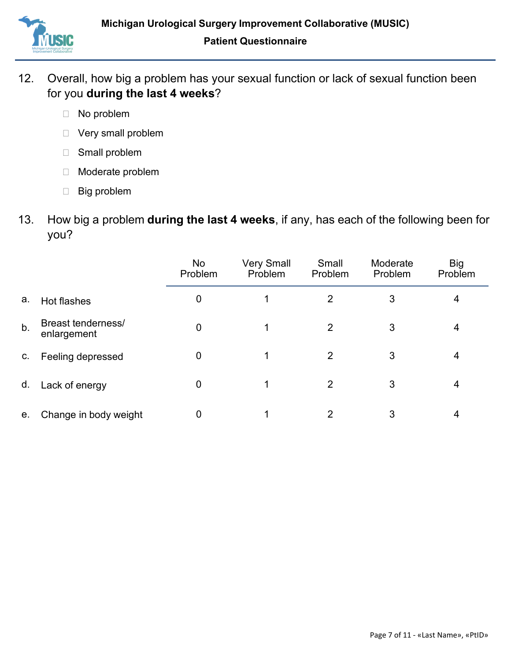

- 12. Overall, how big a problem has your sexual function or lack of sexual function been for you **during the last 4 weeks**?
	- □ No problem
	- Very small problem
	- Small problem
	- Moderate problem
	- Big problem
- 13. How big a problem **during the last 4 weeks**, if any, has each of the following been for you?

|    |                                   | No<br>Problem | <b>Very Small</b><br>Problem | Small<br>Problem | Moderate<br>Problem | <b>Big</b><br>Problem |
|----|-----------------------------------|---------------|------------------------------|------------------|---------------------|-----------------------|
| а. | Hot flashes                       | 0             |                              | 2                | 3                   | 4                     |
| b. | Breast tenderness/<br>enlargement | 0             |                              | 2                | 3                   | 4                     |
| C. | Feeling depressed                 | 0             |                              | 2                | 3                   | 4                     |
| d. | Lack of energy                    | 0             |                              | 2                | 3                   | 4                     |
| е. | Change in body weight             | 0             |                              | 2                | 3                   | 4                     |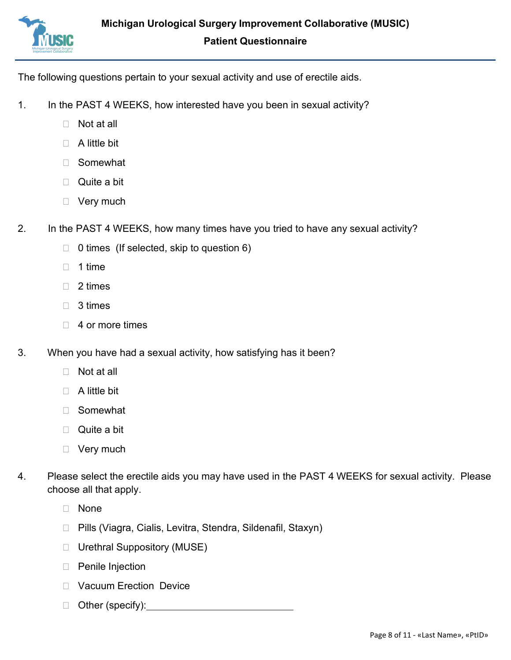

The following questions pertain to your sexual activity and use of erectile aids.

- 1. In the PAST 4 WEEKS, how interested have you been in sexual activity?
	- □ Not at all
	- $\Box$  A little bit
	- Somewhat
	- □ Quite a bit
	- □ Very much
- 2. In the PAST 4 WEEKS, how many times have you tried to have any sexual activity?
	- $\Box$  0 times (If selected, skip to question 6)
	- $\Box$  1 time
	- □ 2 times
	- □ 3 times
	- $\Box$  4 or more times
- 3. When you have had a sexual activity, how satisfying has it been?
	- $\Box$  Not at all
	- $\Box$  A little bit
	- Somewhat
	- □ Quite a bit
	- D Very much
- 4. Please select the erectile aids you may have used in the PAST 4 WEEKS for sexual activity. Please choose all that apply.
	- None
	- □ Pills (Viagra, Cialis, Levitra, Stendra, Sildenafil, Staxyn)
	- □ Urethral Suppository (MUSE)
	- □ Penile Injection
	- D Vacuum Erection Device
	- □ Other (specify):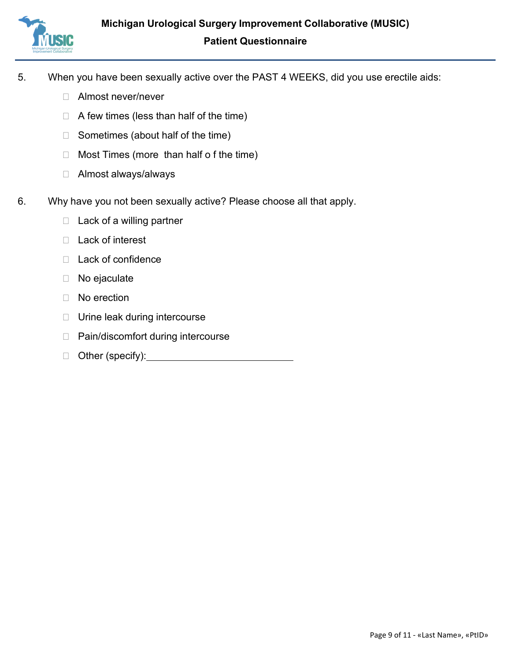

- 5. When you have been sexually active over the PAST 4 WEEKS, did you use erectile aids:
	- □ Almost never/never
	- $\Box$  A few times (less than half of the time)
	- $\Box$  Sometimes (about half of the time)
	- $\Box$  Most Times (more than half of the time)
	- Almost always/always
- 6. Why have you not been sexually active? Please choose all that apply.
	- $\Box$  Lack of a willing partner
	- □ Lack of interest
	- $\Box$  Lack of confidence
	- □ No ejaculate
	- D No erection
	- □ Urine leak during intercourse
	- □ Pain/discomfort during intercourse
	- □ Other (specify): <u>\_\_\_\_\_\_\_\_\_\_\_\_\_\_\_\_\_\_\_\_\_\_\_\_\_\_\_\_</u>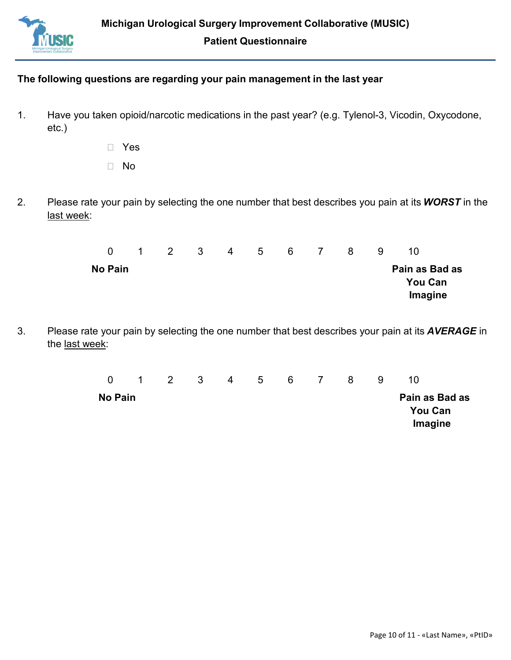

## **The following questions are regarding your pain management in the last year**

- 1. Have you taken opioid/narcotic medications in the past year? (e.g. Tylenol-3, Vicodin, Oxycodone, etc.)
	- Yes
	- No
- 2. Please rate your pain by selecting the one number that best describes you pain at its *WORST* in the last week:

| $\Omega$ | $\mathbf{1}$ | $\overline{2}$ | - 3 | 4 | 5 | 6 <sup>6</sup> | $\sim$ 7 | 8 | 9 | 10                                          |  |
|----------|--------------|----------------|-----|---|---|----------------|----------|---|---|---------------------------------------------|--|
| No Pain  |              |                |     |   |   |                |          |   |   | Pain as Bad as<br><b>You Can</b><br>Imagine |  |

3. Please rate your pain by selecting the one number that best describes your pain at its *AVERAGE* in the last week:

| $\overline{0}$ | $\sim$ 1 | $\overline{2}$ | $\overline{\mathbf{3}}$ | -4 | 5 <sup>5</sup> | 6 | $\overline{1}$ | 8 | 9 | 10                                          |
|----------------|----------|----------------|-------------------------|----|----------------|---|----------------|---|---|---------------------------------------------|
| No Pain        |          |                |                         |    |                |   |                |   |   | Pain as Bad as<br><b>You Can</b><br>Imagine |